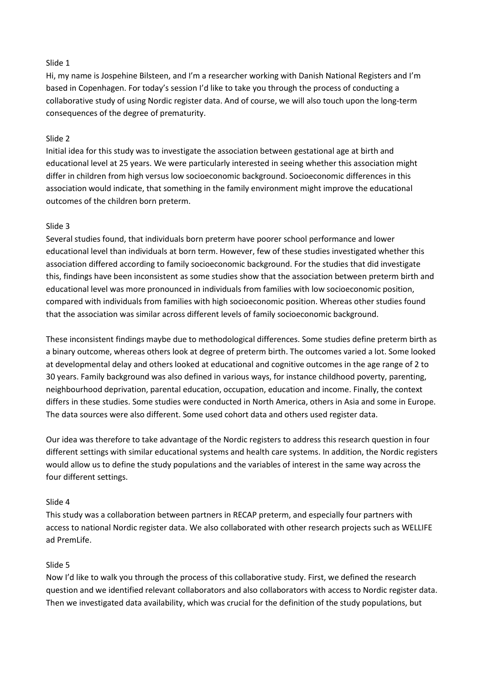# Slide 1

Hi, my name is Jospehine Bilsteen, and I'm a researcher working with Danish National Registers and I'm based in Copenhagen. For today's session I'd like to take you through the process of conducting a collaborative study of using Nordic register data. And of course, we will also touch upon the long-term consequences of the degree of prematurity.

# Slide 2

Initial idea for this study was to investigate the association between gestational age at birth and educational level at 25 years. We were particularly interested in seeing whether this association might differ in children from high versus low socioeconomic background. Socioeconomic differences in this association would indicate, that something in the family environment might improve the educational outcomes of the children born preterm.

# Slide 3

Several studies found, that individuals born preterm have poorer school performance and lower educational level than individuals at born term. However, few of these studies investigated whether this association differed according to family socioeconomic background. For the studies that did investigate this, findings have been inconsistent as some studies show that the association between preterm birth and educational level was more pronounced in individuals from families with low socioeconomic position, compared with individuals from families with high socioeconomic position. Whereas other studies found that the association was similar across different levels of family socioeconomic background.

These inconsistent findings maybe due to methodological differences. Some studies define preterm birth as a binary outcome, whereas others look at degree of preterm birth. The outcomes varied a lot. Some looked at developmental delay and others looked at educational and cognitive outcomes in the age range of 2 to 30 years. Family background was also defined in various ways, for instance childhood poverty, parenting, neighbourhood deprivation, parental education, occupation, education and income. Finally, the context differs in these studies. Some studies were conducted in North America, others in Asia and some in Europe. The data sources were also different. Some used cohort data and others used register data.

Our idea was therefore to take advantage of the Nordic registers to address this research question in four different settings with similar educational systems and health care systems. In addition, the Nordic registers would allow us to define the study populations and the variables of interest in the same way across the four different settings.

### Slide 4

This study was a collaboration between partners in RECAP preterm, and especially four partners with access to national Nordic register data. We also collaborated with other research projects such as WELLIFE ad PremLife.

### Slide 5

Now I'd like to walk you through the process of this collaborative study. First, we defined the research question and we identified relevant collaborators and also collaborators with access to Nordic register data. Then we investigated data availability, which was crucial for the definition of the study populations, but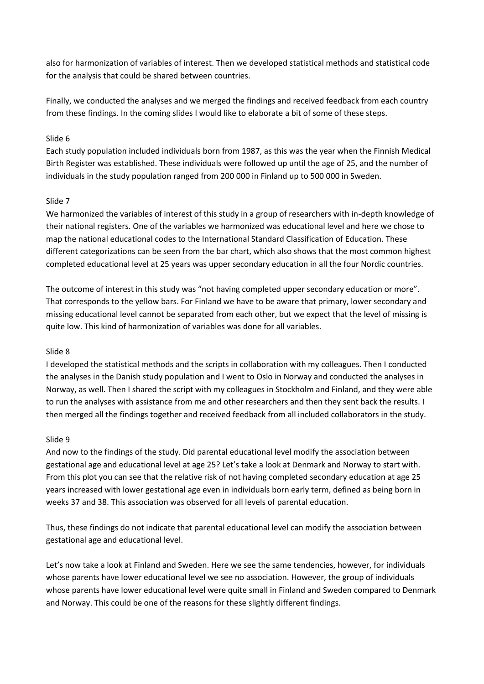also for harmonization of variables of interest. Then we developed statistical methods and statistical code for the analysis that could be shared between countries.

Finally, we conducted the analyses and we merged the findings and received feedback from each country from these findings. In the coming slides I would like to elaborate a bit of some of these steps.

# Slide 6

Each study population included individuals born from 1987, as this was the year when the Finnish Medical Birth Register was established. These individuals were followed up until the age of 25, and the number of individuals in the study population ranged from 200 000 in Finland up to 500 000 in Sweden.

# Slide 7

We harmonized the variables of interest of this study in a group of researchers with in-depth knowledge of their national registers. One of the variables we harmonized was educational level and here we chose to map the national educational codes to the International Standard Classification of Education. These different categorizations can be seen from the bar chart, which also shows that the most common highest completed educational level at 25 years was upper secondary education in all the four Nordic countries.

The outcome of interest in this study was "not having completed upper secondary education or more". That corresponds to the yellow bars. For Finland we have to be aware that primary, lower secondary and missing educational level cannot be separated from each other, but we expect that the level of missing is quite low. This kind of harmonization of variables was done for all variables.

### Slide 8

I developed the statistical methods and the scripts in collaboration with my colleagues. Then I conducted the analyses in the Danish study population and I went to Oslo in Norway and conducted the analyses in Norway, as well. Then I shared the script with my colleagues in Stockholm and Finland, and they were able to run the analyses with assistance from me and other researchers and then they sent back the results. I then merged all the findings together and received feedback from all included collaborators in the study.

### Slide 9

And now to the findings of the study. Did parental educational level modify the association between gestational age and educational level at age 25? Let's take a look at Denmark and Norway to start with. From this plot you can see that the relative risk of not having completed secondary education at age 25 years increased with lower gestational age even in individuals born early term, defined as being born in weeks 37 and 38. This association was observed for all levels of parental education.

Thus, these findings do not indicate that parental educational level can modify the association between gestational age and educational level.

Let's now take a look at Finland and Sweden. Here we see the same tendencies, however, for individuals whose parents have lower educational level we see no association. However, the group of individuals whose parents have lower educational level were quite small in Finland and Sweden compared to Denmark and Norway. This could be one of the reasons for these slightly different findings.